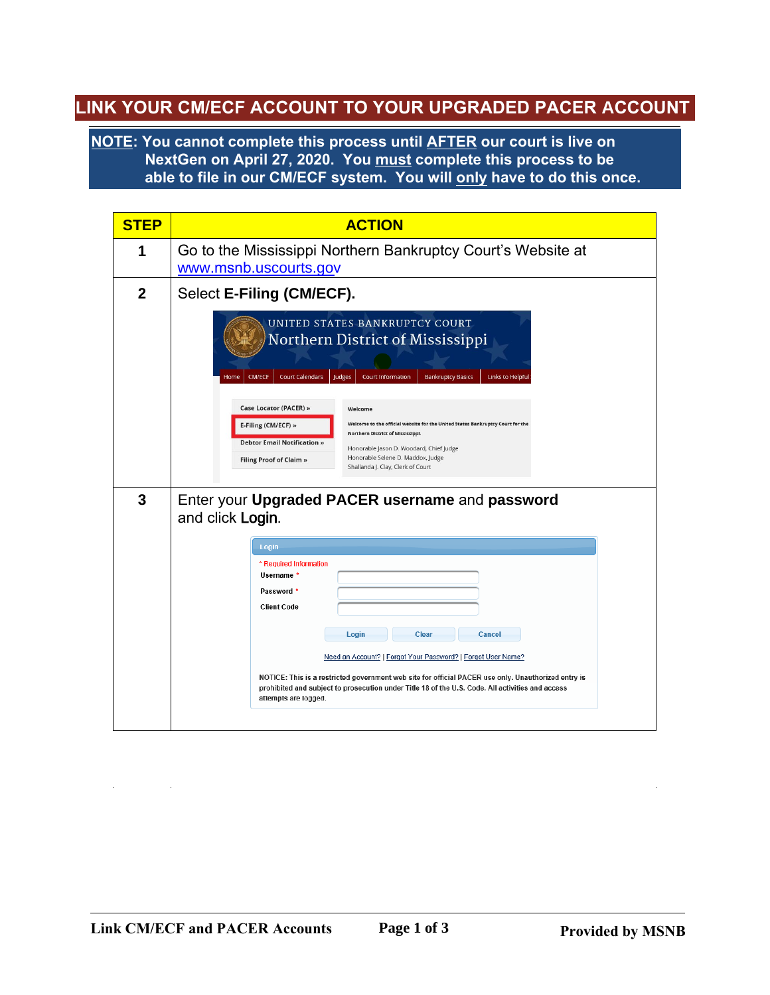## **LINK YOUR CM/ECF ACCOUNT TO YOUR UPGRADED PACER ACCOUNT**

**NOTE: You cannot complete this process until AFTER our court is live on NextGen on April 27, 2020. You must complete this process to be able to file in our CM/ECF system. You will only have to do this once.**

| <b>STEP</b> | <b>ACTION</b>                                                                                                                                                                                                                                                                                                                                                                                                                                                                                                                                                                                      |
|-------------|----------------------------------------------------------------------------------------------------------------------------------------------------------------------------------------------------------------------------------------------------------------------------------------------------------------------------------------------------------------------------------------------------------------------------------------------------------------------------------------------------------------------------------------------------------------------------------------------------|
| 1           | Go to the Mississippi Northern Bankruptcy Court's Website at<br>www.msnb.uscourts.gov                                                                                                                                                                                                                                                                                                                                                                                                                                                                                                              |
| $\mathbf 2$ | Select E-Filing (CM/ECF).                                                                                                                                                                                                                                                                                                                                                                                                                                                                                                                                                                          |
|             | UNITED STATES BANKRUPTCY COURT<br>Northern District of Mississippi<br><b>CM/ECF</b><br><b>Court Calendars</b><br><b>Court Information</b><br><b>Bankruptcy Basics</b><br><b>Links to Helpful</b><br>Judges<br>Home<br>Case Locator (PACER) »<br>Welcome<br>Welcome to the official website for the United States Bankruptcy Court for the<br>E-Filing (CM/ECF) »<br>Northern District of Mississippi.<br><b>Debtor Email Notification »</b><br>Honorable Jason D. Woodard, Chief Judge<br>Honorable Selene D. Maddox, Judge<br><b>Filing Proof of Claim »</b><br>Shallanda J. Clay, Clerk of Court |
| 3           | Enter your Upgraded PACER username and password<br>and click Login.                                                                                                                                                                                                                                                                                                                                                                                                                                                                                                                                |
|             | Login                                                                                                                                                                                                                                                                                                                                                                                                                                                                                                                                                                                              |
|             | * Required Information<br>Username *                                                                                                                                                                                                                                                                                                                                                                                                                                                                                                                                                               |
|             | Password *<br><b>Client Code</b>                                                                                                                                                                                                                                                                                                                                                                                                                                                                                                                                                                   |
|             | Login<br><b>Clear</b><br><b>Cancel</b>                                                                                                                                                                                                                                                                                                                                                                                                                                                                                                                                                             |
|             | Need an Account?   Forgot Your Password?   Forgot User Name?                                                                                                                                                                                                                                                                                                                                                                                                                                                                                                                                       |
|             | NOTICE: This is a restricted government web site for official PACER use only. Unauthorized entry is<br>prohibited and subject to prosecution under Title 18 of the U.S. Code. All activities and access<br>attempts are logged.                                                                                                                                                                                                                                                                                                                                                                    |
|             |                                                                                                                                                                                                                                                                                                                                                                                                                                                                                                                                                                                                    |

 $\mathcal{L}_{\text{max}}$  and  $\mathcal{L}_{\text{max}}$ 

 $\sim 10^{-1}$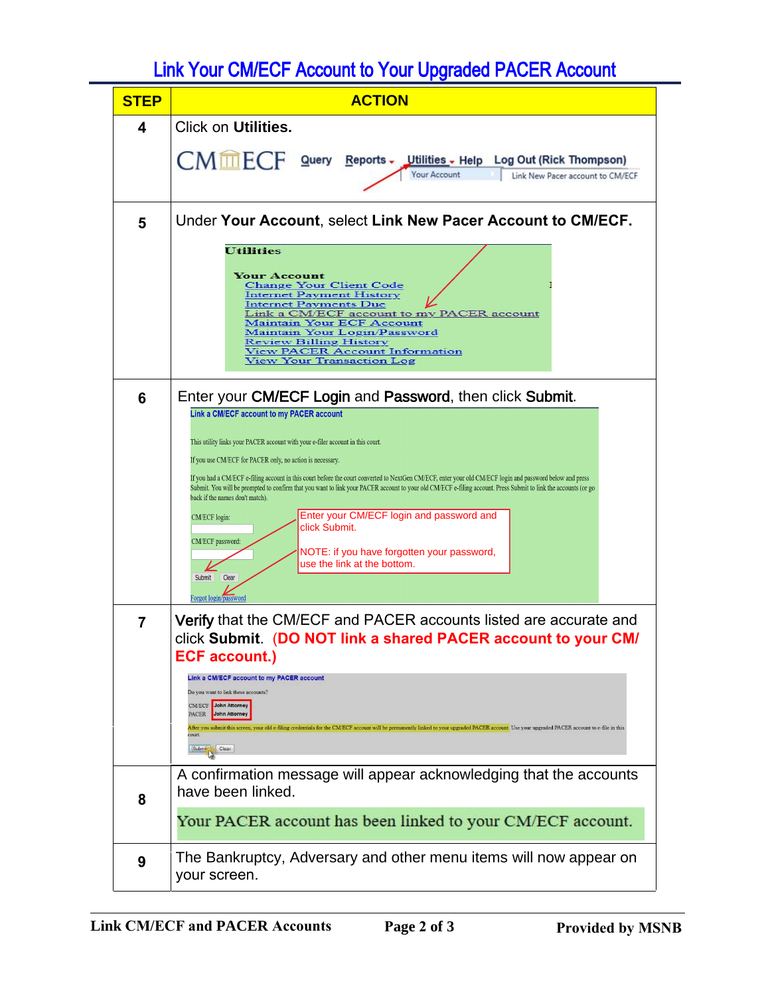## Link Your CM/ECF Account to Your Upgraded PACER Account

| 4<br>5 | Click on Utilities.<br>CMMECF Query Reports - Utilities - Help Log Out (Rick Thompson)<br><b>Your Account</b><br>Link New Pacer account to CM/ECF<br>Under Your Account, select Link New Pacer Account to CM/ECF.                                                                                                                                                           |
|--------|-----------------------------------------------------------------------------------------------------------------------------------------------------------------------------------------------------------------------------------------------------------------------------------------------------------------------------------------------------------------------------|
|        |                                                                                                                                                                                                                                                                                                                                                                             |
|        |                                                                                                                                                                                                                                                                                                                                                                             |
|        |                                                                                                                                                                                                                                                                                                                                                                             |
|        | <b>Utilities</b><br><b>Your Account</b><br><b>Change Your Client Code</b><br><b>Internet Payment History</b><br><b>Internet Payments Due</b><br>Link a CM/ECF account to my PACER account<br><b>Maintain Your ECF Account</b><br>Maintain Your Login/Password<br><b>Review Billing History</b><br><b>View PACER Account Information</b><br><b>View Your Transaction Log</b> |
| 6      | Enter your CM/ECF Login and Password, then click Submit.                                                                                                                                                                                                                                                                                                                    |
|        | Link a CM/ECF account to my PACER account<br>This utility links your PACER account with your e-filer account in this court.<br>If you use CM/ECF for PACER only, no action is necessary.                                                                                                                                                                                    |
|        | If you had a CM/ECF e-filing account in this court before the court converted to NextGen CM/ECF, enter your old CM/ECF login and password below and press<br>Submit. You will be prompted to confirm that you want to link your PACER account to your old CM/ECF e-filing account. Press Submit to link the accounts (or go<br>back if the names don't match).              |
|        | Enter your CM/ECF login and password and<br><b>CM/ECF</b> login:<br>click Submit.<br>CM/ECF password:                                                                                                                                                                                                                                                                       |
|        | NOTE: if you have forgotten your password,<br>use the link at the bottom.<br>Submit<br>Clear<br>Forgot login/password                                                                                                                                                                                                                                                       |
| 7      | Verify that the CM/ECF and PACER accounts listed are accurate and<br>click Submit. (DO NOT link a shared PACER account to your CM/<br><b>ECF account.)</b>                                                                                                                                                                                                                  |
|        | Link a CM/ECF account to my PACER account<br>Do you want to link these accounts?<br><b>CMECF</b> John Attorney<br>PACER<br>John Attorney<br>After you submit this screen, your old e-filing credentials for the CM/ECF account will be permanently linked to your upgraded PACER account. Use your upgraded PACER account to e-file in this<br>Clear<br>Submit              |
|        | A confirmation message will appear acknowledging that the accounts<br>have been linked.                                                                                                                                                                                                                                                                                     |
| 8      | Your PACER account has been linked to your CM/ECF account.                                                                                                                                                                                                                                                                                                                  |
| 9      | The Bankruptcy, Adversary and other menu items will now appear on<br>your screen.                                                                                                                                                                                                                                                                                           |